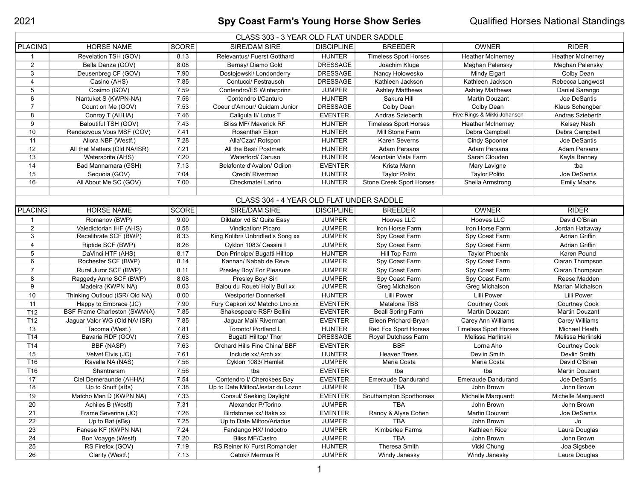## **Spy Coast Farm's Young Horse Show Series** Qualified Horses National Standings

| CLASS 303 - 3 YEAR OLD FLAT UNDER SADDLE |                                |              |                                          |                   |                                 |                              |                          |  |  |  |  |
|------------------------------------------|--------------------------------|--------------|------------------------------------------|-------------------|---------------------------------|------------------------------|--------------------------|--|--|--|--|
| <b>PLACING</b>                           | <b>HORSE NAME</b>              | <b>SCORE</b> | <b>SIRE/DAM SIRE</b>                     | <b>DISCIPLINE</b> | <b>BREEDER</b>                  | <b>OWNER</b>                 | <b>RIDER</b>             |  |  |  |  |
| -1                                       | Revelation TSH (GOV)           | 8.13         | Relevantus/ Fuerst Gotthard              | <b>HUNTER</b>     | <b>Timeless Sport Horses</b>    | <b>Heather McInerney</b>     | <b>Heather McInerney</b> |  |  |  |  |
| $\overline{2}$                           | Bella Danza (GOV)              | 8.08         | Bernay/ Diamo Gold                       | <b>DRESSAGE</b>   | Joachim Kluge                   | Meghan Palensky              | Meghan Palensky          |  |  |  |  |
| 3                                        | Deusenbreg CF (GOV)            | 7.90         | Dostojewski/ Londonderry                 | <b>DRESSAGE</b>   | Nancy Holowesko                 | Mindy Elgart                 | Colby Dean               |  |  |  |  |
| 4                                        | Casino (AHS)                   | 7.85         | Contucci/ Festrausch                     | <b>DRESSAGE</b>   | Kathleen Jackson                | Kathleen Jackson             | Rebecca Langwost         |  |  |  |  |
| 5                                        | Cosimo (GOV)                   | 7.59         | Contendro/ES Winterprinz                 | <b>JUMPER</b>     | <b>Ashley Matthews</b>          | <b>Ashley Matthews</b>       | Daniel Sarango           |  |  |  |  |
| 6                                        | Nantuket S (KWPN-NA)           | 7.56         | Contendro I/Canturo                      | <b>HUNTER</b>     | Sakura Hill                     | Martin Douzant               | Joe DeSantis             |  |  |  |  |
| $\overline{7}$                           | Count on Me (GOV)              | 7.53         | Coeur d'Amour/ Quidam Junior             | <b>DRESSAGE</b>   | Colby Dean                      | Colby Dean                   | Klaus Schengber          |  |  |  |  |
| 8                                        | Conroy T (AHHA)                | 7.46         | Caligula II/ Lotus T                     | <b>EVENTER</b>    | Andras Szieberth                | Five Rings & Mikki Johansen  | Andras Szieberth         |  |  |  |  |
| 9                                        | Baloutiful TSH (GOV)           | 7.43         | <b>Bliss MF/ Maverick RF</b>             | <b>HUNTER</b>     | <b>Timeless Sport Horses</b>    | <b>Heather McInerney</b>     | Kelsey Nash              |  |  |  |  |
| 10 <sup>°</sup>                          | Rendezvous Vous MSF (GOV)      | 7.41         | Rosenthal/ Eikon                         | <b>HUNTER</b>     | Mill Stone Farm                 | Debra Campbell               | Debra Campbell           |  |  |  |  |
| 11                                       | Allora NBF (Westf.)            | 7.28         | Alla'Czar/ Rotspon                       | <b>HUNTER</b>     | Karen Severns                   | <b>Cindy Spooner</b>         | Joe DeSantis             |  |  |  |  |
| 12                                       | All that Matters (Old NA/ISR)  | 7.21         | All the Best/ Postmark                   | <b>HUNTER</b>     | <b>Adam Persans</b>             | <b>Adam Persans</b>          | <b>Adam Persans</b>      |  |  |  |  |
| 13                                       | Watersprite (AHS)              | 7.20         | Waterford/ Caruso                        | <b>HUNTER</b>     | Mountain Vista Farm             | Sarah Clouden                | Kayla Benney             |  |  |  |  |
| 14                                       | Bad Mannamara (GSH)            | 7.13         | Belafonte d'Avalon/ Odilon               | <b>EVENTER</b>    | Krista Mann                     | Mary Lavigne                 | tba                      |  |  |  |  |
| 15                                       | Sequoia (GOV)                  | 7.04         | Qredit/ Riverman                         | <b>HUNTER</b>     | <b>Taylor Polito</b>            | <b>Taylor Polito</b>         | Joe DeSantis             |  |  |  |  |
| 16                                       | All About Me SC (GOV)          | 7.00         | Checkmate/ Larino                        | <b>HUNTER</b>     | <b>Stone Creek Sport Horses</b> | Sheila Armstrong             | <b>Emily Maahs</b>       |  |  |  |  |
|                                          |                                |              |                                          |                   |                                 |                              |                          |  |  |  |  |
|                                          |                                |              | CLASS 304 - 4 YEAR OLD FLAT UNDER SADDLE |                   |                                 |                              |                          |  |  |  |  |
| <b>PLACING</b>                           | <b>HORSE NAME</b>              | <b>SCORE</b> | <b>SIRE/DAM SIRE</b>                     | <b>DISCIPLINE</b> | <b>BREEDER</b>                  | <b>OWNER</b>                 | <b>RIDER</b>             |  |  |  |  |
|                                          | Romanov (BWP)                  | 9.00         | Diktator vd B/ Quite Easy                | <b>JUMPER</b>     | Hooves LLC                      | Hooves LLC                   | David O'Brian            |  |  |  |  |
| $\overline{2}$                           | Valedictorian IHF (AHS)        | 8.58         | Vindication/ Picaro                      | <b>JUMPER</b>     | Iron Horse Farm                 | Iron Horse Farm              | Jordan Hattaway          |  |  |  |  |
| 3                                        | Recalibrate SCF (BWP)          | 8.33         | King Kolibri/ Unbridled's Song xx        | <b>JUMPER</b>     | Spy Coast Farm                  | Spy Coast Farm               | Adrian Griffin           |  |  |  |  |
| 4                                        | Riptide SCF (BWP)              | 8.26         | Cyklon 1083/ Cassini I                   | <b>JUMPER</b>     | Spy Coast Farm                  | Spy Coast Farm               | Adrian Griffin           |  |  |  |  |
| 5                                        | DaVinci HTF (AHS)              | 8.17         | Don Principe/ Bugatti Hilltop            | <b>HUNTER</b>     | Hill Top Farm                   | <b>Taylor Phoenix</b>        | Karen Pound              |  |  |  |  |
| 6                                        | Rochester SCF (BWP)            | 8.14         | Kannan/ Nabab de Reve                    | <b>JUMPER</b>     | Spy Coast Farm                  | Spy Coast Farm               | Ciaran Thompson          |  |  |  |  |
| $\overline{7}$                           | Rural Juror SCF (BWP)          | 8.11         | Presley Boy/ For Pleasure                | <b>JUMPER</b>     | Spy Coast Farm                  | Spy Coast Farm               | Ciaran Thompson          |  |  |  |  |
| 8                                        | Raggedy Anne SCF (BWP)         | 8.08         | Presley Boy/ Siri                        | <b>JUMPER</b>     | Spy Coast Farm                  | Spy Coast Farm               | Reese Madden             |  |  |  |  |
| 9                                        | Madeira (KWPN NA)              | 8.03         | Balou du Rouet/ Holly Bull xx            | <b>JUMPER</b>     | Greg Michalson                  | Greg Michalson               | Marian Michalson         |  |  |  |  |
| 10 <sup>°</sup>                          | Thinking Outloud (ISR/ Old NA) | 8.00         | Westporte/ Donnerkell                    | <b>HUNTER</b>     | <b>Lilli Power</b>              | <b>Lilli Power</b>           | <b>Lilli Power</b>       |  |  |  |  |
| 11                                       | Happy to Embrace (JC)          | 7.90         | Fury Capkori xx/ Matcho Uno xx           | <b>EVENTER</b>    | Matalona TBS                    | <b>Courtney Cook</b>         | <b>Courtney Cook</b>     |  |  |  |  |
| T <sub>12</sub>                          | BSF Frame Charleston (SWANA)   | 7.85         | Shakespeare RSF/ Bellini                 | <b>EVENTER</b>    | <b>Beall Spring Farm</b>        | Martin Douzant               | Martin Douzant           |  |  |  |  |
| T <sub>12</sub>                          | Jaguar Valor WG (Old NA/ ISR)  | 7.85         | Jaguar Mail/ Riverman                    | <b>EVENTER</b>    | Eileen Prichard-Bryan           | Carey Ann Williams           | Carey Williams           |  |  |  |  |
| 13                                       | Tacoma (West.)                 | 7.81         | Toronto/ Portland L                      | <b>HUNTER</b>     | Red Fox Sport Horses            | <b>Timeless Sport Horses</b> | Michael Heath            |  |  |  |  |
| T14                                      | Bavaria RDF (GOV)              | 7.63         | Bugatti Hilltop/ Thor                    | <b>DRESSAGE</b>   | Royal Dutchess Farm             | Melissa Harlinski            | Melissa Harlinski        |  |  |  |  |
| T14                                      | BBF (NASP)                     | 7.63         | Orchard Hills Fine China/ BBF            | <b>EVENTER</b>    | <b>BBF</b>                      | Lorna Aho                    | <b>Courtney Cook</b>     |  |  |  |  |
| 15                                       | Velvet Elvis (JC)              | 7.61         | Include xx/ Arch xx                      | <b>HUNTER</b>     | <b>Heaven Trees</b>             | Devlin Smith                 | Devlin Smith             |  |  |  |  |
| T16                                      | Ravella NA (NAS)               | 7.56         | Cyklon 1083/ Hamlet                      | <b>JUMPER</b>     | Maria Costa                     | Maria Costa                  | David O'Brian            |  |  |  |  |
| T <sub>16</sub>                          | Shantraram                     | 7.56         | tba                                      | <b>EVENTER</b>    | tba                             | tba                          | Martin Douzant           |  |  |  |  |
| 17                                       | Ciel Demeraunde (AHHA)         | 7.54         | Contendro I/ Cherokees Bay               | <b>EVENTER</b>    | <b>Emeraude Dandurand</b>       | <b>Emeraude Dandurand</b>    | Joe DeSantis             |  |  |  |  |
| 18                                       | Up to Snuff (sBs)              | 7.38         | Up to Date Miltoo/Jestar du Lozon        | <b>JUMPER</b>     | <b>TBA</b>                      | John Brown                   | John Brown               |  |  |  |  |
| 19                                       | Matcho Man D (KWPN NA)         | 7.33         | Consul/ Seeking Daylight                 | <b>EVENTER</b>    | Southampton Sporthorses         | Michelle Marquardt           | Michelle Marquardt       |  |  |  |  |
| 20                                       | Achiles B (Westf)              | 7.31         | Alexander P/Torino                       | <b>JUMPER</b>     | <b>TBA</b>                      | John Brown                   | John Brown               |  |  |  |  |
| 21                                       | Frame Severine (JC)            | 7.26         | Birdstonee xx/ Itaka xx                  | <b>EVENTER</b>    | Randy & Alyse Cohen             | Martin Douzant               | Joe DeSantis             |  |  |  |  |
| 22                                       | Up to Bat (sBs)                | 7.25         | Up to Date Miltoo/Ariadus                | <b>JUMPER</b>     | <b>TBA</b>                      | John Brown                   | Jo                       |  |  |  |  |
| 23                                       | Fanese KF (KWPN NA)            | 7.24         | Fandango HX/ Indoctro                    | <b>JUMPER</b>     | Kimberlee Farms                 | Kathleen Rice                | Laura Douglas            |  |  |  |  |
| 24                                       | Bon Voayge (Westf)             | 7.20         | <b>Bliss MF/Castro</b>                   | <b>JUMPER</b>     | <b>TBA</b>                      | John Brown                   | John Brown               |  |  |  |  |
| 25                                       | RS Firefox (GOV)               | 7.19         | RS Reiner K/ Furst Romancier             | <b>HUNTER</b>     | Theresa Smith                   | Vicki Chung                  | Joa Sigsbee              |  |  |  |  |
| 26                                       | Clarity (Westf.)               | 7.13         | Catoki/ Mermus R                         | <b>JUMPER</b>     | Windy Janesky                   | Windy Janesky                | Laura Douglas            |  |  |  |  |